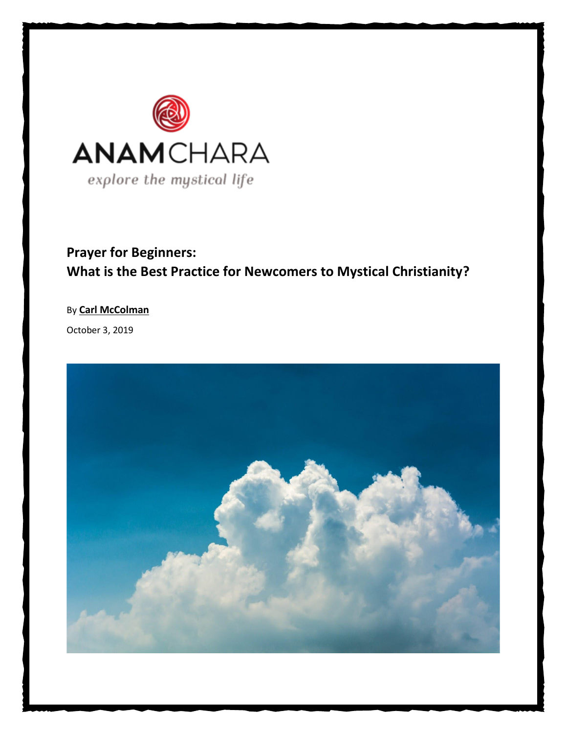

## **Prayer for Beginners: What is the Best Practice for Newcomers to Mystical Christianity?**

## By **[Carl McColman](https://www.anamchara.com/author/carlmccolman/)**

October 3, 2019

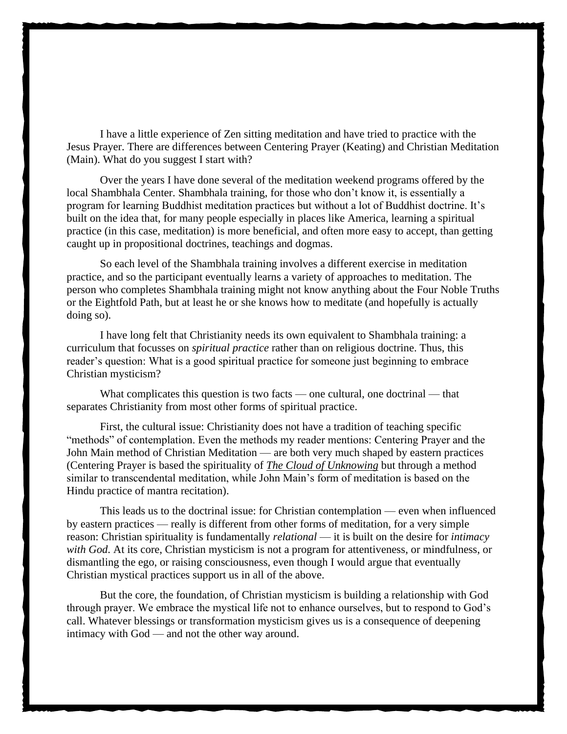I have a little experience of Zen sitting meditation and have tried to practice with the Jesus Prayer. There are differences between Centering Prayer (Keating) and Christian Meditation (Main). What do you suggest I start with?

Over the years I have done several of the meditation weekend programs offered by the local Shambhala Center. Shambhala training, for those who don't know it, is essentially a program for learning Buddhist meditation practices but without a lot of Buddhist doctrine. It's built on the idea that, for many people especially in places like America, learning a spiritual practice (in this case, meditation) is more beneficial, and often more easy to accept, than getting caught up in propositional doctrines, teachings and dogmas.

So each level of the Shambhala training involves a different exercise in meditation practice, and so the participant eventually learns a variety of approaches to meditation. The person who completes Shambhala training might not know anything about the Four Noble Truths or the Eightfold Path, but at least he or she knows how to meditate (and hopefully is actually doing so).

I have long felt that Christianity needs its own equivalent to Shambhala training: a curriculum that focusses on *spiritual practice* rather than on religious doctrine. Thus, this reader's question: What is a good spiritual practice for someone just beginning to embrace Christian mysticism?

What complicates this question is two facts — one cultural, one doctrinal — that separates Christianity from most other forms of spiritual practice.

First, the cultural issue: Christianity does not have a tradition of teaching specific "methods" of contemplation. Even the methods my reader mentions: Centering Prayer and the John Main method of Christian Meditation — are both very much shaped by eastern practices (Centering Prayer is based the spirituality of *[The Cloud of Unknowing](https://viamystica.com/the-cloud-of-unknowing-a-masterpiece-of-contemplative-guidance/)* but through a method similar to transcendental meditation, while John Main's form of meditation is based on the Hindu practice of mantra recitation).

This leads us to the doctrinal issue: for Christian contemplation — even when influenced by eastern practices — really is different from other forms of meditation, for a very simple reason: Christian spirituality is fundamentally *relational* — it is built on the desire for *intimacy with God*. At its core, Christian mysticism is not a program for attentiveness, or mindfulness, or dismantling the ego, or raising consciousness, even though I would argue that eventually Christian mystical practices support us in all of the above.

But the core, the foundation, of Christian mysticism is building a relationship with God through prayer. We embrace the mystical life not to enhance ourselves, but to respond to God's call. Whatever blessings or transformation mysticism gives us is a consequence of deepening intimacy with God — and not the other way around.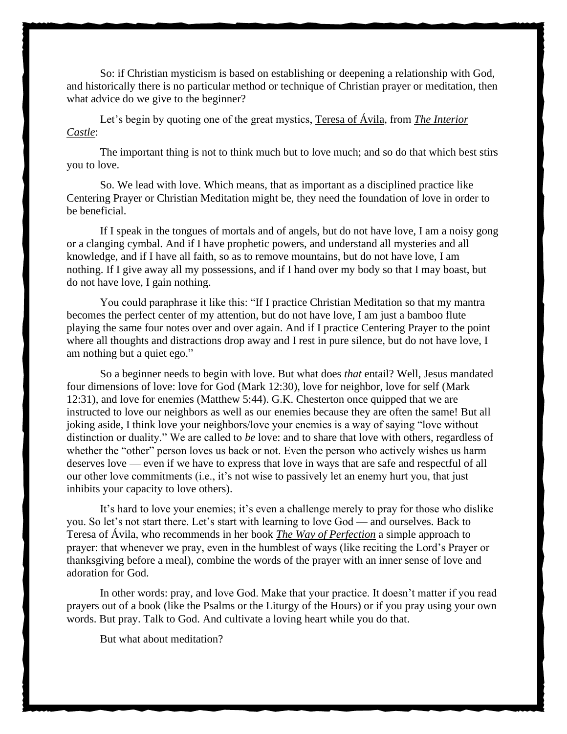So: if Christian mysticism is based on establishing or deepening a relationship with God, and historically there is no particular method or technique of Christian prayer or meditation, then what advice do we give to the beginner?

Let's begin by quoting one of the great mystics, [Teresa of Ávila,](https://viamystica.com/teresa-of-avila-a-passionate-mystic-of-the-love-of-god/) from *[The Interior](https://amzn.to/2M6XHt6)  [Castle](https://amzn.to/2M6XHt6)*:

The important thing is not to think much but to love much; and so do that which best stirs you to love.

So. We lead with love. Which means, that as important as a disciplined practice like Centering Prayer or Christian Meditation might be, they need the foundation of love in order to be beneficial.

If I speak in the tongues of mortals and of angels, but do not have love, I am a noisy gong or a clanging cymbal. And if I have prophetic powers, and understand all mysteries and all knowledge, and if I have all faith, so as to remove mountains, but do not have love, I am nothing. If I give away all my possessions, and if I hand over my body so that I may boast, but do not have love, I gain nothing.

You could paraphrase it like this: "If I practice Christian Meditation so that my mantra becomes the perfect center of my attention, but do not have love, I am just a bamboo flute playing the same four notes over and over again. And if I practice Centering Prayer to the point where all thoughts and distractions drop away and I rest in pure silence, but do not have love, I am nothing but a quiet ego."

So a beginner needs to begin with love. But what does *that* entail? Well, Jesus mandated four dimensions of love: love for God (Mark 12:30), love for neighbor, love for self (Mark 12:31), and love for enemies (Matthew 5:44). G.K. Chesterton once quipped that we are instructed to love our neighbors as well as our enemies because they are often the same! But all joking aside, I think love your neighbors/love your enemies is a way of saying "love without distinction or duality." We are called to *be* love: and to share that love with others, regardless of whether the "other" person loves us back or not. Even the person who actively wishes us harm deserves love — even if we have to express that love in ways that are safe and respectful of all our other love commitments (i.e., it's not wise to passively let an enemy hurt you, that just inhibits your capacity to love others).

It's hard to love your enemies; it's even a challenge merely to pray for those who dislike you. So let's not start there. Let's start with learning to love God — and ourselves. Back to Teresa of Ávila, who recommends in her book *[The Way of Perfection](https://amzn.to/2M6XHt6)* a simple approach to prayer: that whenever we pray, even in the humblest of ways (like reciting the Lord's Prayer or thanksgiving before a meal), combine the words of the prayer with an inner sense of love and adoration for God.

In other words: pray, and love God. Make that your practice. It doesn't matter if you read prayers out of a book (like the Psalms or the Liturgy of the Hours) or if you pray using your own words. But pray. Talk to God. And cultivate a loving heart while you do that.

But what about meditation?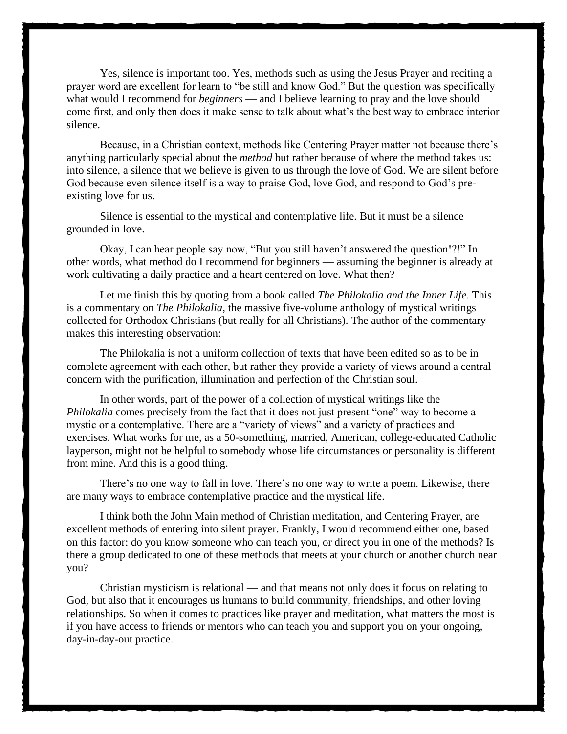Yes, silence is important too. Yes, methods such as using the Jesus Prayer and reciting a prayer word are excellent for learn to "be still and know God." But the question was specifically what would I recommend for *beginners* — and I believe learning to pray and the love should come first, and only then does it make sense to talk about what's the best way to embrace interior silence.

Because, in a Christian context, methods like Centering Prayer matter not because there's anything particularly special about the *method* but rather because of where the method takes us: into silence, a silence that we believe is given to us through the love of God. We are silent before God because even silence itself is a way to praise God, love God, and respond to God's preexisting love for us.

Silence is essential to the mystical and contemplative life. But it must be a silence grounded in love.

Okay, I can hear people say now, "But you still haven't answered the question!?!" In other words, what method do I recommend for beginners — assuming the beginner is already at work cultivating a daily practice and a heart centered on love. What then?

Let me finish this by quoting from a book called *[The Philokalia and the Inner Life](https://amzn.to/31K7JGZ)*. This is a commentary on *[The Philokalia](https://amzn.to/2ImkBf7)*, the massive five-volume anthology of mystical writings collected for Orthodox Christians (but really for all Christians). The author of the commentary makes this interesting observation:

The Philokalia is not a uniform collection of texts that have been edited so as to be in complete agreement with each other, but rather they provide a variety of views around a central concern with the purification, illumination and perfection of the Christian soul.

In other words, part of the power of a collection of mystical writings like the *Philokalia* comes precisely from the fact that it does not just present "one" way to become a mystic or a contemplative. There are a "variety of views" and a variety of practices and exercises. What works for me, as a 50-something, married, American, college-educated Catholic layperson, might not be helpful to somebody whose life circumstances or personality is different from mine. And this is a good thing.

There's no one way to fall in love. There's no one way to write a poem. Likewise, there are many ways to embrace contemplative practice and the mystical life.

I think both the John Main method of Christian meditation, and Centering Prayer, are excellent methods of entering into silent prayer. Frankly, I would recommend either one, based on this factor: do you know someone who can teach you, or direct you in one of the methods? Is there a group dedicated to one of these methods that meets at your church or another church near you?

Christian mysticism is relational — and that means not only does it focus on relating to God, but also that it encourages us humans to build community, friendships, and other loving relationships. So when it comes to practices like prayer and meditation, what matters the most is if you have access to friends or mentors who can teach you and support you on your ongoing, day-in-day-out practice.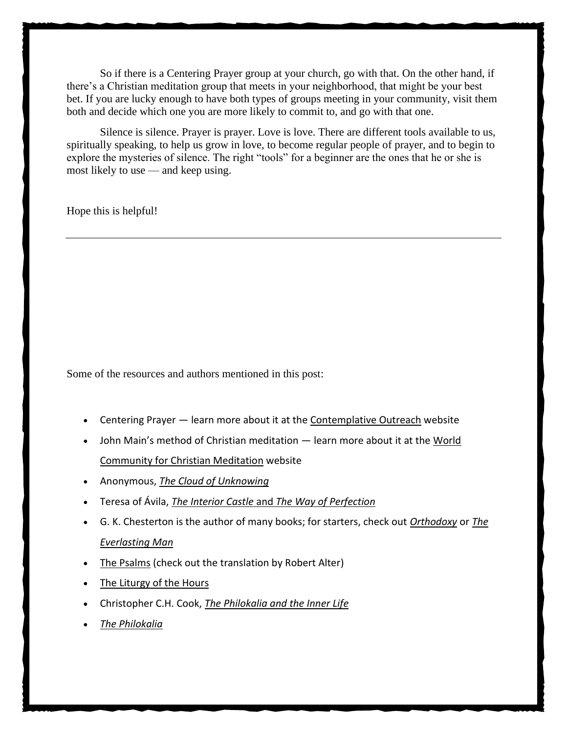So if there is a Centering Prayer group at your church, go with that. On the other hand, if there's a Christian meditation group that meets in your neighborhood, that might be your best bet. If you are lucky enough to have both types of groups meeting in your community, visit them both and decide which one you are more likely to commit to, and go with that one.

Silence is silence. Prayer is prayer. Love is love. There are different tools available to us, spiritually speaking, to help us grow in love, to become regular people of prayer, and to begin to explore the mysteries of silence. The right "tools" for a beginner are the ones that he or she is most likely to use — and keep using.

Hope this is helpful!

Some of the resources and authors mentioned in this post:

- Centering Prayer learn more about it at the [Contemplative Outreach](https://www.contemplativeoutreach.org/) website
- John Main's method of Christian meditation learn more about it at the [World](http://wccm.org/)  [Community for Christian Meditation](http://wccm.org/) website
- Anonymous, *[The Cloud of Unknowing](https://amzn.to/2LM5UUo)*
- Teresa of Ávila, *The Interior Castle* and *[The Way of Perfection](https://amzn.to/2M6XHt6)*
- G. K. Chesterton is the author of many books; for starters, check out *[Orthodoxy](https://amzn.to/3571pvi)* or *[The](https://amzn.to/3571pvi)  [Everlasting Man](https://amzn.to/3571pvi)*
- [The Psalms](https://amzn.to/2AF0aWj) (check out the translation by Robert Alter)
- [The Liturgy of the Hours](https://amzn.to/2Op7iyl)
- Christopher C.H. Cook, *[The Philokalia and the Inner Life](https://amzn.to/31K7JGZ)*
- *[The Philokalia](https://amzn.to/2ImkBf7)*